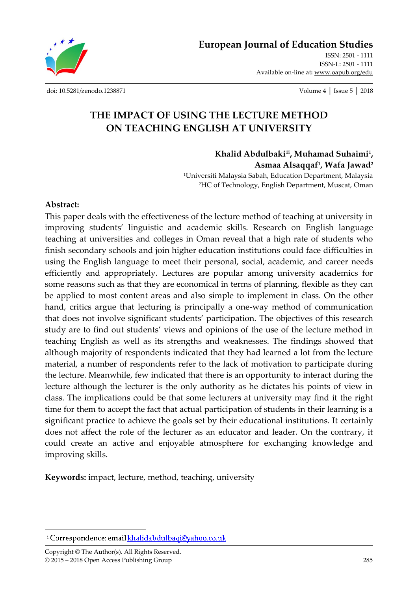**European Journal of Education Studies**

ISSN: 2501 - 1111 ISSN-L: 2501 - 1111 Available on-line at**:** www.oapub.org/edu

[doi: 10.5281/zenodo.1238871](http://dx.doi.org/10.5281/zenodo.1238871) Volume 4 │ Issue 5 │ 2018

# **THE IMPACT OF USING THE LECTURE METHOD ON TEACHING ENGLISH AT UNIVERSITY**

**Khalid Abdulbaki1i , Muhamad Suhaimi<sup>1</sup> , Asmaa Alsaqqaf<sup>1</sup> , Wafa Jawad<sup>2</sup>**

<sup>1</sup>Universiti Malaysia Sabah, Education Department, Malaysia <sup>2</sup>HC of Technology, English Department, Muscat, Oman

#### **Abstract:**

This paper deals with the effectiveness of the lecture method of teaching at university in improving students' linguistic and academic skills. Research on English language teaching at universities and colleges in Oman reveal that a high rate of students who finish secondary schools and join higher education institutions could face difficulties in using the English language to meet their personal, social, academic, and career needs efficiently and appropriately. Lectures are popular among university academics for some reasons such as that they are economical in terms of planning, flexible as they can be applied to most content areas and also simple to implement in class. On the other hand, critics argue that lecturing is principally a one-way method of communication that does not involve significant students' participation. The objectives of this research study are to find out students' views and opinions of the use of the lecture method in teaching English as well as its strengths and weaknesses. The findings showed that although majority of respondents indicated that they had learned a lot from the lecture material, a number of respondents refer to the lack of motivation to participate during the lecture. Meanwhile, few indicated that there is an opportunity to interact during the lecture although the lecturer is the only authority as he dictates his points of view in class. The implications could be that some lecturers at university may find it the right time for them to accept the fact that actual participation of students in their learning is a significant practice to achieve the goals set by their educational institutions. It certainly does not affect the role of the lecturer as an educator and leader. On the contrary, it could create an active and enjoyable atmosphere for exchanging knowledge and improving skills.

**Keywords:** impact, lecture, method, teaching, university

Copyright © The Author(s). All Rights Reserved. © 2015 – 2018 Open Access Publishing Group 285

 $\overline{\phantom{a}}$ 

<sup>&</sup>lt;sup>i</sup> Correspondence: email **khalidabdulbaqi@yahoo.co.uk**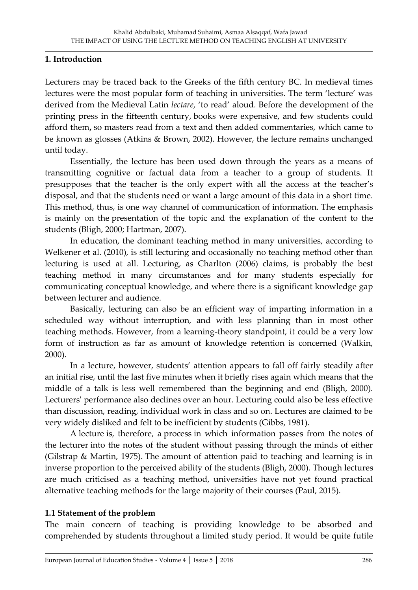#### **1. Introduction**

Lecturers may be traced back to the Greeks of the fifth century BC. In medieval times lectures were the most popular form of teaching in universities. The term 'lecture' was derived from the Medieval Latin *lectare*, 'to read' aloud. Before the development of the printing press in the fifteenth century, books were expensive, and few students could afford them**,** so masters read from a text and then added commentaries, which came to be known as glosses (Atkins & Brown, 2002). However, the lecture remains unchanged until today.

Essentially, the lecture has been used down through the years as a means of transmitting cognitive or factual data from a teacher to a group of students. It presupposes that the teacher is the only expert with all the access at the teacher's disposal, and that the students need or want a large amount of this data in a short time. This method, thus, is one way channel of communication of information. The emphasis is mainly on the presentation of the topic and the explanation of the content to the students (Bligh, 2000; Hartman, 2007).

In education, the dominant teaching method in many universities, according to Welkener et al. (2010), is still lecturing and occasionally no teaching method other than lecturing is used at all. Lecturing, as Charlton (2006) claims, is probably the best teaching method in many circumstances and for many students especially for communicating conceptual knowledge, and where there is a significant knowledge gap between lecturer and audience.

Basically, lecturing can also be an efficient way of imparting information in a scheduled way without interruption, and with less planning than in most other teaching methods. However, from a learning-theory standpoint, it could be a very low form of instruction as far as amount of knowledge retention is concerned (Walkin, 2000).

In a lecture, however, students' attention appears to fall off fairly steadily after an initial rise, until the last five minutes when it briefly rises again which means that the middle of a talk is less well remembered than the beginning and end (Bligh, 2000). Lecturers' performance also declines over an hour. Lecturing could also be less effective than discussion, reading, individual work in class and so on. Lectures are claimed to be very widely disliked and felt to be inefficient by students (Gibbs, 1981).

A lecture is, therefore, a process in which information passes from the notes of the lecturer into the notes of the student without passing through the minds of either (Gilstrap & Martin, 1975). The amount of attention paid to teaching and learning is in inverse proportion to the perceived ability of the students (Bligh, 2000). Though lectures are much criticised as a teaching method, universities have not yet found practical alternative teaching methods for the large majority of their courses (Paul, 2015).

## **1.1 Statement of the problem**

The main concern of teaching is providing knowledge to be absorbed and comprehended by students throughout a limited study period. It would be quite futile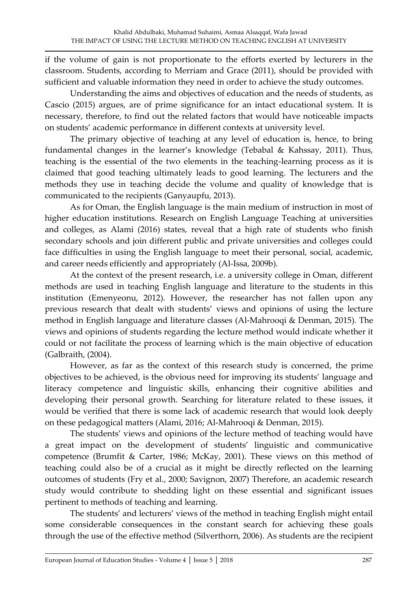if the volume of gain is not proportionate to the efforts exerted by lecturers in the classroom. Students, according to Merriam and Grace (2011), should be provided with sufficient and valuable information they need in order to achieve the study outcomes.

Understanding the aims and objectives of education and the needs of students, as Cascio (2015) argues, are of prime significance for an intact educational system. It is necessary, therefore, to find out the related factors that would have noticeable impacts on students' academic performance in different contexts at university level.

The primary objective of teaching at any level of education is, hence, to bring fundamental changes in the learner's knowledge (Tebabal & Kahssay, 2011). Thus, teaching is the essential of the two elements in the teaching-learning process as it is claimed that good teaching ultimately leads to good learning. The lecturers and the methods they use in teaching decide the volume and quality of knowledge that is communicated to the recipients (Ganyaupfu, 2013).

As for Oman, the English language is the main medium of instruction in most of higher education institutions. Research on English Language Teaching at universities and colleges, as Alami (2016) states, reveal that a high rate of students who finish secondary schools and join different public and private universities and colleges could face difficulties in using the English language to meet their personal, social, academic, and career needs efficiently and appropriately (Al-Issa, 2009b).

At the context of the present research, i.e. a university college in Oman, different methods are used in teaching English language and literature to the students in this institution (Emenyeonu, 2012). However, the researcher has not fallen upon any previous research that dealt with students' views and opinions of using the lecture method in English language and literature classes (Al-Mahrooqi & Denman, 2015). The views and opinions of students regarding the lecture method would indicate whether it could or not facilitate the process of learning which is the main objective of education (Galbraith, (2004).

However, as far as the context of this research study is concerned, the prime objectives to be achieved, is the obvious need for improving its students' language and literacy competence and linguistic skills, enhancing their cognitive abilities and developing their personal growth. Searching for literature related to these issues, it would be verified that there is some lack of academic research that would look deeply on these pedagogical matters (Alami, 2016; Al-Mahrooqi & Denman, 2015).

The students' views and opinions of the lecture method of teaching would have a great impact on the development of students' linguistic and communicative competence (Brumfit & Carter, 1986; McKay, 2001). These views on this method of teaching could also be of a crucial as it might be directly reflected on the learning outcomes of students (Fry et al., 2000; Savignon, 2007) Therefore, an academic research study would contribute to shedding light on these essential and significant issues pertinent to methods of teaching and learning.

The students' and lecturers' views of the method in teaching English might entail some considerable consequences in the constant search for achieving these goals through the use of the effective method (Silverthorn, 2006). As students are the recipient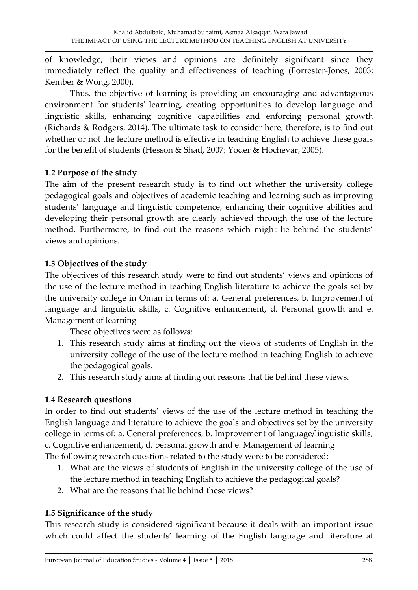of knowledge, their views and opinions are definitely significant since they immediately reflect the quality and effectiveness of teaching (Forrester-Jones, 2003; Kember & Wong, 2000).

Thus, the objective of learning is providing an encouraging and advantageous environment for students' learning, creating opportunities to develop language and linguistic skills, enhancing cognitive capabilities and enforcing personal growth (Richards & Rodgers, 2014). The ultimate task to consider here, therefore, is to find out whether or not the lecture method is effective in teaching English to achieve these goals for the benefit of students (Hesson & Shad, 2007; Yoder & Hochevar, 2005).

#### **1.2 Purpose of the study**

The aim of the present research study is to find out whether the university college pedagogical goals and objectives of academic teaching and learning such as improving students' language and linguistic competence, enhancing their cognitive abilities and developing their personal growth are clearly achieved through the use of the lecture method. Furthermore, to find out the reasons which might lie behind the students' views and opinions.

### **1.3 Objectives of the study**

The objectives of this research study were to find out students' views and opinions of the use of the lecture method in teaching English literature to achieve the goals set by the university college in Oman in terms of: a. General preferences, b. Improvement of language and linguistic skills, c. Cognitive enhancement, d. Personal growth and e. Management of learning

These objectives were as follows:

- 1. This research study aims at finding out the views of students of English in the university college of the use of the lecture method in teaching English to achieve the pedagogical goals.
- 2. This research study aims at finding out reasons that lie behind these views.

## **1.4 Research questions**

In order to find out students' views of the use of the lecture method in teaching the English language and literature to achieve the goals and objectives set by the university college in terms of: a. General preferences, b. Improvement of language/linguistic skills, c. Cognitive enhancement, d. personal growth and e. Management of learning The following research questions related to the study were to be considered:

- 1. What are the views of students of English in the university college of the use of the lecture method in teaching English to achieve the pedagogical goals?
- 2. What are the reasons that lie behind these views?

## **1.5 Significance of the study**

This research study is considered significant because it deals with an important issue which could affect the students' learning of the English language and literature at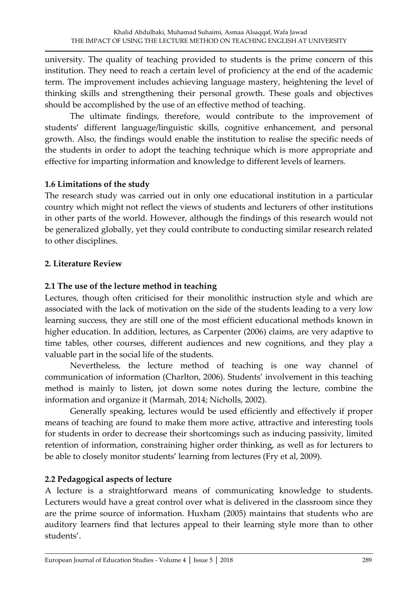university. The quality of teaching provided to students is the prime concern of this institution. They need to reach a certain level of proficiency at the end of the academic term. The improvement includes achieving language mastery, heightening the level of thinking skills and strengthening their personal growth. These goals and objectives should be accomplished by the use of an effective method of teaching.

The ultimate findings, therefore, would contribute to the improvement of students' different language/linguistic skills, cognitive enhancement, and personal growth. Also, the findings would enable the institution to realise the specific needs of the students in order to adopt the teaching technique which is more appropriate and effective for imparting information and knowledge to different levels of learners.

#### **1.6 Limitations of the study**

The research study was carried out in only one educational institution in a particular country which might not reflect the views of students and lecturers of other institutions in other parts of the world. However, although the findings of this research would not be generalized globally, yet they could contribute to conducting similar research related to other disciplines.

## **2. Literature Review**

### **2.1 The use of the lecture method in teaching**

Lectures, though often criticised for their monolithic instruction style and which are associated with the lack of motivation on the side of the students leading to a very low learning success, they are still one of the most efficient educational methods known in higher education. In addition, lectures, as Carpenter (2006) claims, are very adaptive to time tables, other courses, different audiences and new cognitions, and they play a valuable part in the social life of the students.

Nevertheless, the lecture method of teaching is one way channel of communication of information (Charlton, 2006). Students' involvement in this teaching method is mainly to listen, jot down some notes during the lecture, combine the information and organize it (Marmah, 2014; Nicholls, 2002).

Generally speaking, lectures would be used efficiently and effectively if proper means of teaching are found to make them more active, attractive and interesting tools for students in order to decrease their shortcomings such as inducing passivity, limited retention of information, constraining higher order thinking, as well as for lecturers to be able to closely monitor students' learning from lectures (Fry et al, 2009).

## **2.2 Pedagogical aspects of lecture**

A lecture is a straightforward means of communicating knowledge to students. Lecturers would have a great control over what is delivered in the classroom since they are the prime source of information. Huxham (2005) maintains that students who are auditory learners find that lectures appeal to their learning style more than to other students'.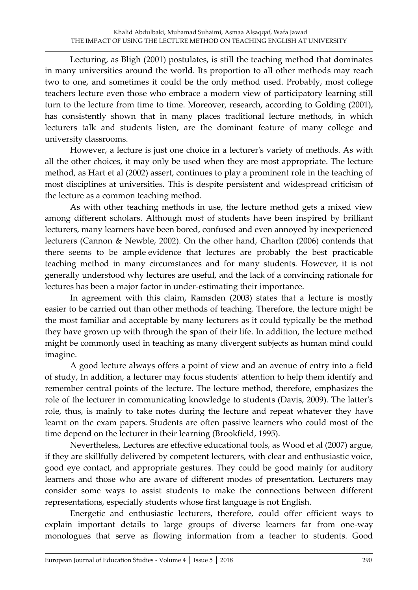Lecturing, as Bligh (2001) postulates, is still the teaching method that dominates in many universities around the world. Its proportion to all other methods may reach two to one, and sometimes it could be the only method used. Probably, most college teachers lecture even those who embrace a modern view of participatory learning still turn to the lecture from time to time. Moreover, research, according to Golding (2001), has consistently shown that in many places traditional lecture methods, in which lecturers talk and students listen, are the dominant feature of many college and university classrooms.

However, a lecture is just one choice in a lecturer's variety of methods. As with all the other choices, it may only be used when they are most appropriate. The lecture method, as Hart et al (2002) assert, continues to play a prominent role in the teaching of most disciplines at universities. This is despite persistent and widespread criticism of the lecture as a common teaching method.

As with other teaching methods in use, the lecture method gets a mixed view among different scholars. Although most of students have been inspired by brilliant lecturers, many learners have been bored, confused and even annoyed by inexperienced lecturers (Cannon & Newble, 2002). On the other hand, Charlton (2006) contends that there seems to be ample evidence that lectures are probably the best practicable teaching method in many circumstances and for many students. However, it is not generally understood why lectures are useful, and the lack of a convincing rationale for lectures has been a major factor in under-estimating their importance.

In agreement with this claim, Ramsden (2003) states that a lecture is mostly easier to be carried out than other methods of teaching. Therefore, the lecture might be the most familiar and acceptable by many lecturers as it could typically be the method they have grown up with through the span of their life. In addition, the lecture method might be commonly used in teaching as many divergent subjects as human mind could imagine.

A good lecture always offers a point of view and an avenue of entry into a field of study, In addition, a lecturer may focus students' attention to help them identify and remember central points of the lecture. The lecture method, therefore, emphasizes the role of the lecturer in communicating knowledge to students (Davis, 2009). The latter's role, thus, is mainly to take notes during the lecture and repeat whatever they have learnt on the exam papers. Students are often passive learners who could most of the time depend on the lecturer in their learning (Brookfield, 1995).

Nevertheless, Lectures are effective educational tools, as Wood et al (2007) argue, if they are skillfully delivered by competent lecturers, with clear and enthusiastic voice, good eye contact, and appropriate gestures. They could be good mainly for auditory learners and those who are aware of different modes of presentation. Lecturers may consider some ways to assist students to make the connections between different representations, especially students whose first language is not English.

Energetic and enthusiastic lecturers, therefore, could offer efficient ways to explain important details to large groups of diverse learners far from one-way monologues that serve as flowing information from a teacher to students. Good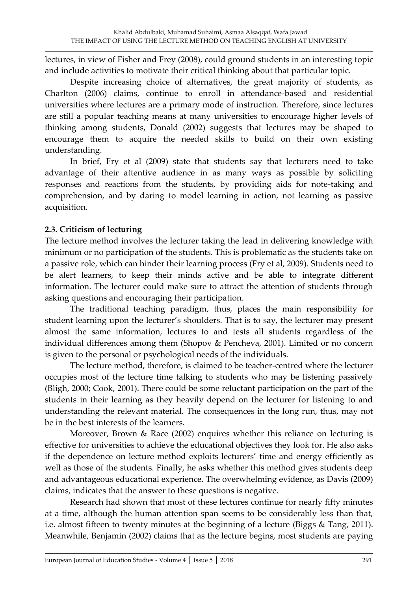lectures, in view of Fisher and Frey (2008), could ground students in an interesting topic and include activities to motivate their critical thinking about that particular topic.

Despite increasing choice of alternatives, the great majority of students, as Charlton (2006) claims, continue to enroll in attendance-based and residential universities where lectures are a primary mode of instruction. Therefore, since lectures are still a popular teaching means at many universities to encourage higher levels of thinking among students, Donald (2002) suggests that lectures may be shaped to encourage them to acquire the needed skills to build on their own existing understanding.

In brief, Fry et al (2009) state that students say that lecturers need to take advantage of their attentive audience in as many ways as possible by soliciting responses and reactions from the students, by providing aids for note-taking and comprehension, and by daring to model learning in action, not learning as passive acquisition.

### **2.3. Criticism of lecturing**

The lecture method involves the lecturer taking the lead in delivering knowledge with minimum or no participation of the students. This is problematic as the students take on a passive role, which can hinder their learning process (Fry et al, 2009). Students need to be alert learners, to keep their minds active and be able to integrate different information. The lecturer could make sure to attract the attention of students through asking questions and encouraging their participation.

The traditional teaching paradigm, thus, places the main responsibility for student learning upon the lecturer's shoulders. That is to say, the lecturer may present almost the same information, lectures to and tests all students regardless of the individual differences among them (Shopov & Pencheva, 2001). Limited or no concern is given to the personal or psychological needs of the individuals.

The lecture method, therefore, is claimed to be teacher-centred where the lecturer occupies most of the lecture time talking to students who may be listening passively (Bligh, 2000; Cook, 2001). There could be some reluctant participation on the part of the students in their learning as they heavily depend on the lecturer for listening to and understanding the relevant material. The consequences in the long run, thus, may not be in the best interests of the learners.

Moreover, Brown & Race (2002) enquires whether this reliance on lecturing is effective for universities to achieve the educational objectives they look for. He also asks if the dependence on lecture method exploits lecturers' time and energy efficiently as well as those of the students. Finally, he asks whether this method gives students deep and advantageous educational experience. The overwhelming evidence, as Davis (2009) claims, indicates that the answer to these questions is negative.

Research had shown that most of these lectures continue for nearly fifty minutes at a time, although the human attention span seems to be considerably less than that, i.e. almost fifteen to twenty minutes at the beginning of a lecture (Biggs & Tang, 2011). Meanwhile, Benjamin (2002) claims that as the lecture begins, most students are paying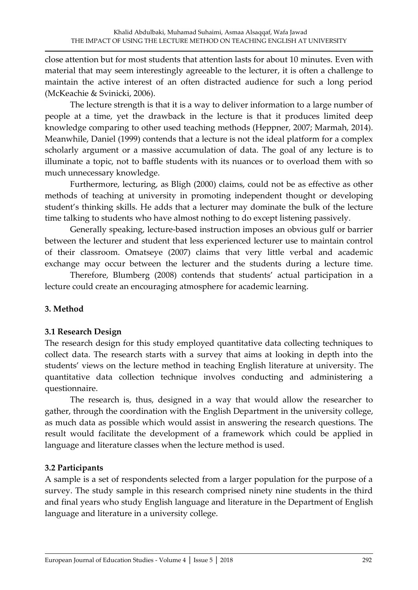close attention but for most students that attention lasts for about 10 minutes. Even with material that may seem interestingly agreeable to the lecturer, it is often a challenge to maintain the active interest of an often distracted audience for such a long period (McKeachie & Svinicki, 2006).

The lecture strength is that it is a way to deliver information to a large number of people at a time, yet the drawback in the lecture is that it produces limited deep knowledge comparing to other used teaching methods (Heppner, 2007; Marmah, 2014). Meanwhile, Daniel (1999) contends that a lecture is not the ideal platform for a complex scholarly argument or a massive accumulation of data. The goal of any lecture is to illuminate a topic, not to baffle students with its nuances or to overload them with so much unnecessary knowledge.

Furthermore, lecturing, as Bligh (2000) claims, could not be as effective as other methods of teaching at university in promoting independent thought or developing student's thinking skills. He adds that a lecturer may dominate the bulk of the lecture time talking to students who have almost nothing to do except listening passively.

Generally speaking, lecture-based instruction imposes an obvious gulf or barrier between the lecturer and student that less experienced lecturer use to maintain control of their classroom. Omatseye (2007) claims that very little verbal and academic exchange may occur between the lecturer and the students during a lecture time.

Therefore, Blumberg (2008) contends that students' actual participation in a lecture could create an encouraging atmosphere for academic learning.

## **3. Method**

## **3.1 Research Design**

The research design for this study employed quantitative data collecting techniques to collect data. The research starts with a survey that aims at looking in depth into the students' views on the lecture method in teaching English literature at university. The quantitative data collection technique involves conducting and administering a questionnaire.

The research is, thus, designed in a way that would allow the researcher to gather, through the coordination with the English Department in the university college, as much data as possible which would assist in answering the research questions. The result would facilitate the development of a framework which could be applied in language and literature classes when the lecture method is used.

## **3.2 Participants**

A sample is a set of respondents selected from a larger population for the purpose of a survey. The study sample in this research comprised ninety nine students in the third and final years who study English language and literature in the Department of English language and literature in a university college.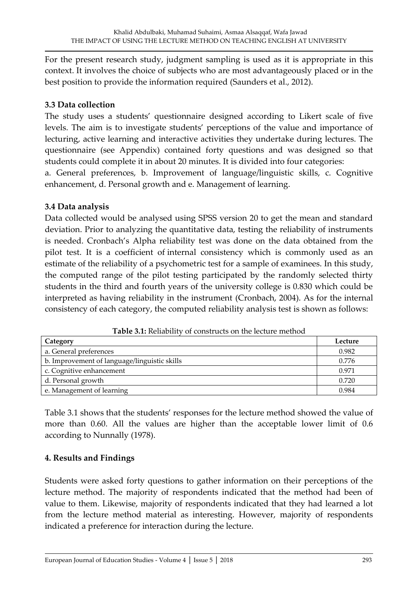For the present research study, judgment sampling is used as it is appropriate in this context. It involves the choice of subjects who are most advantageously placed or in the best position to provide the information required (Saunders et al., 2012).

#### **3.3 Data collection**

The study uses a students' questionnaire designed according to Likert scale of five levels. The aim is to investigate students' perceptions of the value and importance of lecturing, active learning and interactive activities they undertake during lectures. The questionnaire (see Appendix) contained forty questions and was designed so that students could complete it in about 20 minutes. It is divided into four categories:

a. General preferences, b. Improvement of language/linguistic skills, c. Cognitive enhancement, d. Personal growth and e. Management of learning.

#### **3.4 Data analysis**

Data collected would be analysed using SPSS version 20 to get the mean and standard deviation. Prior to analyzing the quantitative data, testing the reliability of instruments is needed. Cronbach's Alpha reliability test was done on the data obtained from the pilot test. It is a coefficient of internal consistency which is commonly used as an estimate of the reliability of a psychometric test for a sample of examinees. In this study, the computed range of the pilot testing participated by the randomly selected thirty students in the third and fourth years of the university college is 0.830 which could be interpreted as having reliability in the instrument (Cronbach, 2004). As for the internal consistency of each category, the computed reliability analysis test is shown as follows:

| Category                                     | Lecture |
|----------------------------------------------|---------|
| a. General preferences                       | 0.982   |
| b. Improvement of language/linguistic skills | 0.776   |
| c. Cognitive enhancement                     | 0.971   |
| d. Personal growth                           | 0.720   |
| e. Management of learning                    | 0.984   |

**Table 3.1:** Reliability of constructs on the lecture method

Table 3.1 shows that the students' responses for the lecture method showed the value of more than 0.60. All the values are higher than the acceptable lower limit of 0.6 according to Nunnally (1978).

#### **4. Results and Findings**

Students were asked forty questions to gather information on their perceptions of the lecture method. The majority of respondents indicated that the method had been of value to them. Likewise, majority of respondents indicated that they had learned a lot from the lecture method material as interesting. However, majority of respondents indicated a preference for interaction during the lecture.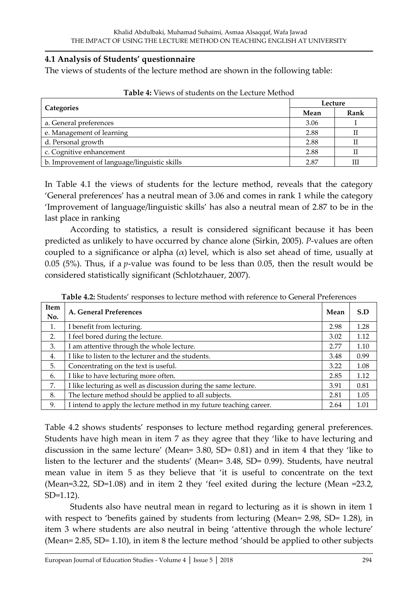#### **4.1 Analysis of Students' questionnaire**

The views of students of the lecture method are shown in the following table:

|                                              |      | Lecture |  |  |
|----------------------------------------------|------|---------|--|--|
| <b>Categories</b>                            | Mean | Rank    |  |  |
| a. General preferences                       | 3.06 |         |  |  |
| e. Management of learning                    | 2.88 |         |  |  |
| d. Personal growth                           | 2.88 |         |  |  |
| c. Cognitive enhancement                     | 2.88 |         |  |  |
| b. Improvement of language/linguistic skills | 2.87 | Ш       |  |  |

In Table 4.1 the views of students for the lecture method, reveals that the category 'General preferences' has a neutral mean of 3.06 and comes in rank 1 while the category 'Improvement of language/linguistic skills' has also a neutral mean of 2.87 to be in the last place in ranking

According to statistics, a result is considered significant because it has been predicted as unlikely to have occurred by chance alone (Sirkin, 2005). *P*-values are often coupled to a significance or alpha  $(\alpha)$  level, which is also set ahead of time, usually at 0.05 (5%). Thus, if a *p*-value was found to be less than 0.05, then the result would be considered statistically significant (Schlotzhauer, 2007).

| Item<br>No. | A. General Preferences                                             | Mean | S.D  |
|-------------|--------------------------------------------------------------------|------|------|
| 1.          | I benefit from lecturing.                                          | 2.98 | 1.28 |
| 2.          | I feel bored during the lecture.                                   | 3.02 | 1.12 |
| 3.          | I am attentive through the whole lecture.                          | 2.77 | 1.10 |
| 4.          | I like to listen to the lecturer and the students.                 | 3.48 | 0.99 |
| 5.          | Concentrating on the text is useful.                               | 3.22 | 1.08 |
| 6.          | I like to have lecturing more often.                               | 2.85 | 1.12 |
| 7.          | I like lecturing as well as discussion during the same lecture.    | 3.91 | 0.81 |
| 8.          | The lecture method should be applied to all subjects.              | 2.81 | 1.05 |
| 9.          | I intend to apply the lecture method in my future teaching career. | 2.64 | 1.01 |

**Table 4.2:** Students' responses to lecture method with reference to General Preferences

Table 4.2 shows students' responses to lecture method regarding general preferences. Students have high mean in item 7 as they agree that they 'like to have lecturing and discussion in the same lecture' (Mean= 3.80, SD= 0.81) and in item 4 that they 'like to listen to the lecturer and the students' (Mean= 3.48, SD= 0.99). Students, have neutral mean value in item 5 as they believe that 'it is useful to concentrate on the text (Mean=3.22, SD=1.08) and in item 2 they 'feel exited during the lecture (Mean =23.2, SD=1.12).

Students also have neutral mean in regard to lecturing as it is shown in item 1 with respect to 'benefits gained by students from lecturing (Mean= 2.98, SD= 1.28), in item 3 where students are also neutral in being 'attentive through the whole lecture' (Mean= 2.85, SD= 1.10), in item 8 the lecture method 'should be applied to other subjects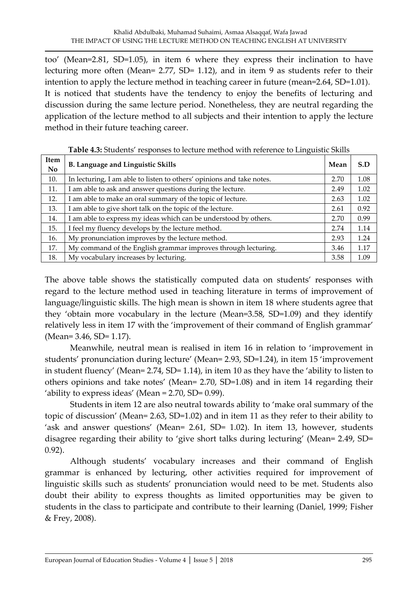too' (Mean=2.81, SD=1.05), in item 6 where they express their inclination to have lecturing more often (Mean= 2.77, SD= 1.12), and in item 9 as students refer to their intention to apply the lecture method in teaching career in future (mean=2.64, SD=1.01). It is noticed that students have the tendency to enjoy the benefits of lecturing and discussion during the same lecture period. Nonetheless, they are neutral regarding the application of the lecture method to all subjects and their intention to apply the lecture method in their future teaching career.

| Item<br>N <sub>o</sub> | <b>B. Language and Linguistic Skills</b>                              | Mean | S.D  |
|------------------------|-----------------------------------------------------------------------|------|------|
| 10.                    | In lecturing, I am able to listen to others' opinions and take notes. | 2.70 | 1.08 |
| 11.                    | I am able to ask and answer questions during the lecture.             | 2.49 | 1.02 |
| 12.                    | I am able to make an oral summary of the topic of lecture.            | 2.63 | 1.02 |
| 13.                    | I am able to give short talk on the topic of the lecture.             | 2.61 | 0.92 |
| 14.                    | I am able to express my ideas which can be understood by others.      | 2.70 | 0.99 |
| 15.                    | I feel my fluency develops by the lecture method.                     | 2.74 | 1.14 |
| 16.                    | My pronunciation improves by the lecture method.                      | 2.93 | 1.24 |
| 17.                    | My command of the English grammar improves through lecturing.         | 3.46 | 1.17 |
| 18.                    | My vocabulary increases by lecturing.                                 | 3.58 | 1.09 |

**Table 4.3:** Students' responses to lecture method with reference to Linguistic Skills

The above table shows the statistically computed data on students' responses with regard to the lecture method used in teaching literature in terms of improvement of language/linguistic skills. The high mean is shown in item 18 where students agree that they 'obtain more vocabulary in the lecture (Mean=3.58, SD=1.09) and they identify relatively less in item 17 with the 'improvement of their command of English grammar' (Mean= 3.46, SD= 1.17).

Meanwhile, neutral mean is realised in item 16 in relation to 'improvement in students' pronunciation during lecture' (Mean= 2.93, SD=1.24), in item 15 'improvement in student fluency' (Mean= 2.74, SD= 1.14), in item 10 as they have the 'ability to listen to others opinions and take notes' (Mean= 2.70, SD=1.08) and in item 14 regarding their 'ability to express ideas' (Mean = 2.70, SD= 0.99).

Students in item 12 are also neutral towards ability to 'make oral summary of the topic of discussion' (Mean= 2.63, SD=1.02) and in item 11 as they refer to their ability to 'ask and answer questions' (Mean= 2.61, SD= 1.02). In item 13, however, students disagree regarding their ability to 'give short talks during lecturing' (Mean= 2.49, SD= 0.92).

Although students' vocabulary increases and their command of English grammar is enhanced by lecturing, other activities required for improvement of linguistic skills such as students' pronunciation would need to be met. Students also doubt their ability to express thoughts as limited opportunities may be given to students in the class to participate and contribute to their learning (Daniel, 1999; Fisher & Frey, 2008).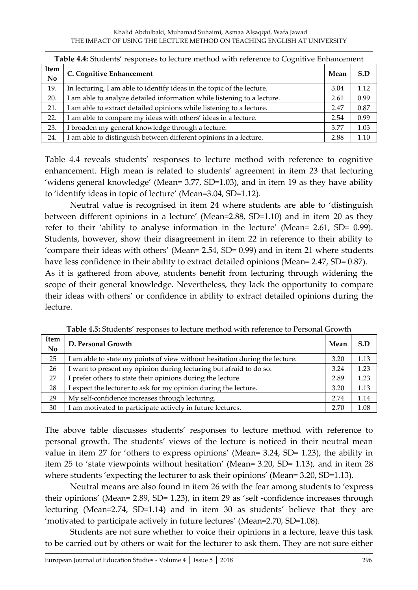|                   | <b>Table 4.4:</b> Students' responses to lecture method with reference to Cognitive Enhancement |      |      |  |
|-------------------|-------------------------------------------------------------------------------------------------|------|------|--|
| Item<br><b>No</b> | C. Cognitive Enhancement                                                                        | Mean | S.D  |  |
| 19.               | In lecturing, I am able to identify ideas in the topic of the lecture.                          | 3.04 | 1.12 |  |
| 20.               | am able to analyze detailed information while listening to a lecture.                           | 2.61 | 0.99 |  |
| 21.               | am able to extract detailed opinions while listening to a lecture.                              | 2.47 | 0.87 |  |
| 22.               | am able to compare my ideas with others' ideas in a lecture.                                    | 2.54 | 0.99 |  |
| 23.               | I broaden my general knowledge through a lecture.                                               | 3.77 | 1.03 |  |
| 24.               | I am able to distinguish between different opinions in a lecture.                               | 2.88 | 1.10 |  |

|  |  | <b>Table 4.4:</b> Students' responses to lecture method with reference to Cognitive Enhancement |  |
|--|--|-------------------------------------------------------------------------------------------------|--|
|  |  |                                                                                                 |  |

Table 4.4 reveals students' responses to lecture method with reference to cognitive enhancement. High mean is related to students' agreement in item 23 that lecturing 'widens general knowledge' (Mean= 3.77, SD=1.03), and in item 19 as they have ability to 'identify ideas in topic of lecture' (Mean=3.04, SD=1.12).

Neutral value is recognised in item 24 where students are able to 'distinguish between different opinions in a lecture' (Mean=2.88, SD=1.10) and in item 20 as they refer to their 'ability to analyse information in the lecture' (Mean= 2.61, SD= 0.99). Students, however, show their disagreement in item 22 in reference to their ability to 'compare their ideas with others' (Mean= 2.54, SD= 0.99) and in item 21 where students have less confidence in their ability to extract detailed opinions (Mean= 2.47, SD= 0.87). As it is gathered from above, students benefit from lecturing through widening the scope of their general knowledge. Nevertheless, they lack the opportunity to compare their ideas with others' or confidence in ability to extract detailed opinions during the lecture.

| <b>Item</b><br>N <sub>o</sub> | D. Personal Growth                                                          | Mean | S.D  |
|-------------------------------|-----------------------------------------------------------------------------|------|------|
| 25                            | I am able to state my points of view without hesitation during the lecture. | 3.20 | 1.13 |
| 26                            | I want to present my opinion during lecturing but afraid to do so.          | 3.24 | 1.23 |
| 27                            | I prefer others to state their opinions during the lecture.                 | 2.89 | 1.23 |
| 28                            | I expect the lecturer to ask for my opinion during the lecture.             | 3.20 | 1.13 |
| 29                            | My self-confidence increases through lecturing.                             | 2.74 | 1.14 |
| 30                            | I am motivated to participate actively in future lectures.                  | 2.70 | 1.08 |

**Table 4.5:** Students' responses to lecture method with reference to Personal Growth

The above table discusses students' responses to lecture method with reference to personal growth. The students' views of the lecture is noticed in their neutral mean value in item 27 for 'others to express opinions' (Mean= 3.24, SD= 1.23), the ability in item 25 to 'state viewpoints without hesitation' (Mean= 3.20, SD= 1.13), and in item 28 where students 'expecting the lecturer to ask their opinions' (Mean= 3.20, SD=1.13).

Neutral means are also found in item 26 with the fear among students to 'express their opinions' (Mean= 2.89, SD= 1.23), in item 29 as 'self-confidence increases through lecturing (Mean=2.74, SD=1.14) and in item 30 as students' believe that they are 'motivated to participate actively in future lectures' (Mean=2.70, SD=1.08).

Students are not sure whether to voice their opinions in a lecture, leave this task to be carried out by others or wait for the lecturer to ask them. They are not sure either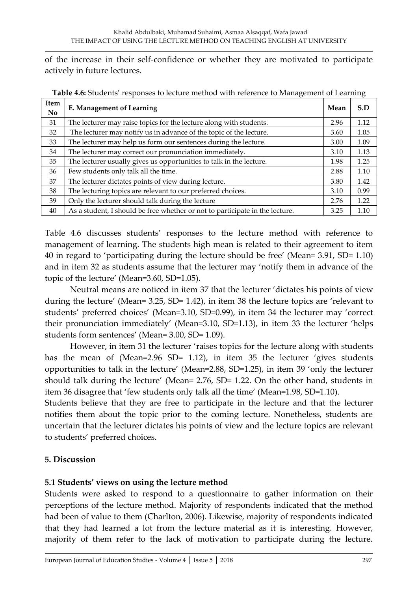of the increase in their self-confidence or whether they are motivated to participate actively in future lectures.

| Item<br>N <sub>o</sub> | E. Management of Learning                                                    | Mean | S.D  |
|------------------------|------------------------------------------------------------------------------|------|------|
| 31                     | The lecturer may raise topics for the lecture along with students.           | 2.96 | 1.12 |
| 32                     | The lecturer may notify us in advance of the topic of the lecture.           | 3.60 | 1.05 |
| 33                     | The lecturer may help us form our sentences during the lecture.              | 3.00 | 1.09 |
| 34                     | The lecturer may correct our pronunciation immediately.                      | 3.10 | 1.13 |
| 35                     | The lecturer usually gives us opportunities to talk in the lecture.          | 1.98 | 1.25 |
| 36                     | Few students only talk all the time.                                         | 2.88 | 1.10 |
| 37                     | The lecturer dictates points of view during lecture.                         | 3.80 | 1.42 |
| 38                     | The lecturing topics are relevant to our preferred choices.                  | 3.10 | 0.99 |
| 39                     | Only the lecturer should talk during the lecture                             | 2.76 | 1.22 |
| 40                     | As a student, I should be free whether or not to participate in the lecture. | 3.25 | 1.10 |

**Table 4.6:** Students' responses to lecture method with reference to Management of Learning

Table 4.6 discusses students' responses to the lecture method with reference to management of learning. The students high mean is related to their agreement to item 40 in regard to 'participating during the lecture should be free' (Mean= 3.91, SD= 1.10) and in item 32 as students assume that the lecturer may 'notify them in advance of the topic of the lecture' (Mean=3.60, SD=1.05).

Neutral means are noticed in item 37 that the lecturer 'dictates his points of view during the lecture' (Mean= 3.25, SD= 1.42), in item 38 the lecture topics are 'relevant to students' preferred choices' (Mean=3.10, SD=0.99), in item 34 the lecturer may 'correct their pronunciation immediately' (Mean=3.10, SD=1.13), in item 33 the lecturer 'helps students form sentences' (Mean= 3.00, SD= 1.09).

However, in item 31 the lecturer 'raises topics for the lecture along with students has the mean of (Mean=2.96 SD= 1.12), in item 35 the lecturer 'gives students opportunities to talk in the lecture' (Mean=2.88, SD=1.25), in item 39 'only the lecturer should talk during the lecture' (Mean= 2.76, SD= 1.22. On the other hand, students in item 36 disagree that 'few students only talk all the time' (Mean=1.98, SD=1.10).

Students believe that they are free to participate in the lecture and that the lecturer notifies them about the topic prior to the coming lecture. Nonetheless, students are uncertain that the lecturer dictates his points of view and the lecture topics are relevant to students' preferred choices.

#### **5. Discussion**

#### **5.1 Students' views on using the lecture method**

Students were asked to respond to a questionnaire to gather information on their perceptions of the lecture method. Majority of respondents indicated that the method had been of value to them (Charlton, 2006). Likewise, majority of respondents indicated that they had learned a lot from the lecture material as it is interesting. However, majority of them refer to the lack of motivation to participate during the lecture.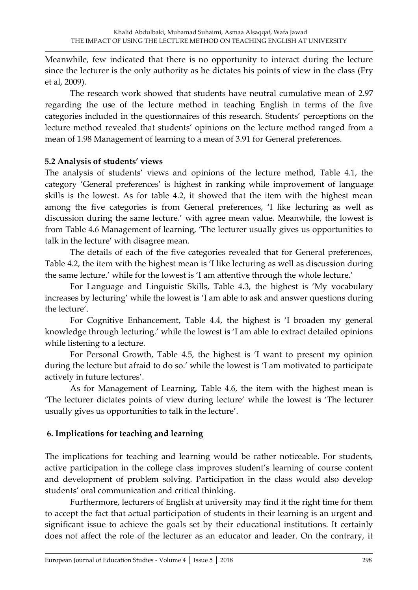Meanwhile, few indicated that there is no opportunity to interact during the lecture since the lecturer is the only authority as he dictates his points of view in the class (Fry et al, 2009).

The research work showed that students have neutral cumulative mean of 2.97 regarding the use of the lecture method in teaching English in terms of the five categories included in the questionnaires of this research. Students' perceptions on the lecture method revealed that students' opinions on the lecture method ranged from a mean of 1.98 Management of learning to a mean of 3.91 for General preferences.

### **5.2 Analysis of students' views**

The analysis of students' views and opinions of the lecture method, Table 4.1, the category 'General preferences' is highest in ranking while improvement of language skills is the lowest. As for table 4.2, it showed that the item with the highest mean among the five categories is from General preferences, 'I like lecturing as well as discussion during the same lecture.' with agree mean value. Meanwhile, the lowest is from Table 4.6 Management of learning, 'The lecturer usually gives us opportunities to talk in the lecture' with disagree mean.

The details of each of the five categories revealed that for General preferences, Table 4.2, the item with the highest mean is 'I like lecturing as well as discussion during the same lecture.' while for the lowest is 'I am attentive through the whole lecture.'

For Language and Linguistic Skills, Table 4.3, the highest is 'My vocabulary increases by lecturing' while the lowest is 'I am able to ask and answer questions during the lecture'.

For Cognitive Enhancement, Table 4.4, the highest is 'I broaden my general knowledge through lecturing.' while the lowest is 'I am able to extract detailed opinions while listening to a lecture.

For Personal Growth, Table 4.5, the highest is 'I want to present my opinion during the lecture but afraid to do so.' while the lowest is 'I am motivated to participate actively in future lectures'.

As for Management of Learning, Table 4.6, the item with the highest mean is 'The lecturer dictates points of view during lecture' while the lowest is 'The lecturer usually gives us opportunities to talk in the lecture'.

## **6. Implications for teaching and learning**

The implications for teaching and learning would be rather noticeable. For students, active participation in the college class improves student's learning of course content and development of problem solving. Participation in the class would also develop students' oral communication and critical thinking.

Furthermore, lecturers of English at university may find it the right time for them to accept the fact that actual participation of students in their learning is an urgent and significant issue to achieve the goals set by their educational institutions. It certainly does not affect the role of the lecturer as an educator and leader. On the contrary, it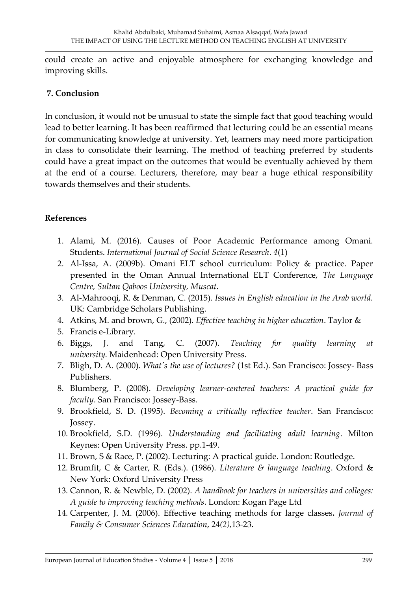could create an active and enjoyable atmosphere for exchanging knowledge and improving skills.

#### **7. Conclusion**

In conclusion, it would not be unusual to state the simple fact that good teaching would lead to better learning. It has been reaffirmed that lecturing could be an essential means for communicating knowledge at university. Yet, learners may need more participation in class to consolidate their learning. The method of teaching preferred by students could have a great impact on the outcomes that would be eventually achieved by them at the end of a course. Lecturers, therefore, may bear a huge ethical responsibility towards themselves and their students.

#### **References**

- 1. Alami, M. (2016). Causes of Poor Academic Performance among Omani. Students. *International Journal of Social Science Research*. *4*(1)
- 2. Al-Issa, A. (2009b). Omani ELT school curriculum: Policy & practice. Paper presented in the Oman Annual International ELT Conference, *The Language Centre, Sultan Qaboos University, Muscat*.
- 3. Al-Mahrooqi, R. & Denman, C. (2015). *Issues in English education in the Arab world.* UK: Cambridge Scholars Publishing.
- 4. Atkins, M. and brown, G., (2002). *Effective teaching in higher education*. Taylor &
- 5. Francis e-Library*.*
- 6. Biggs, J. and Tang, C. (2007). *Teaching for quality learning at university.* Maidenhead: Open University Press.
- 7. Bligh, D. A. (2000). *What's the use of lectures?* (1st Ed.). San Francisco: Jossey- Bass Publishers.
- 8. Blumberg, P. (2008). *Developing learner-centered teachers: A practical guide for faculty*. San Francisco: Jossey-Bass.
- 9. Brookfield, S. D. (1995). *Becoming a critically reflective teacher*. San Francisco: Jossey.
- 10. Brookfield, S.D. (1996). *Understanding and facilitating adult learning*. Milton Keynes: Open University Press. pp.1-49.
- 11. Brown, S & Race, P. (2002). Lecturing: A practical guide. London: Routledge.
- 12. Brumfit, C & Carter, R. (Eds.). (1986). *Literature & language teaching*. Oxford & New York: Oxford University Press
- 13. Cannon, R. & Newble, D. (2002). *A handbook for teachers in universities and colleges: A guide to improving teaching methods*. London: Kogan Page Ltd
- 14. Carpenter, J. M. (2006). Effective teaching methods for large classes**.** *Journal of Family & Consumer Sciences Education*, 24*(2),*13-23.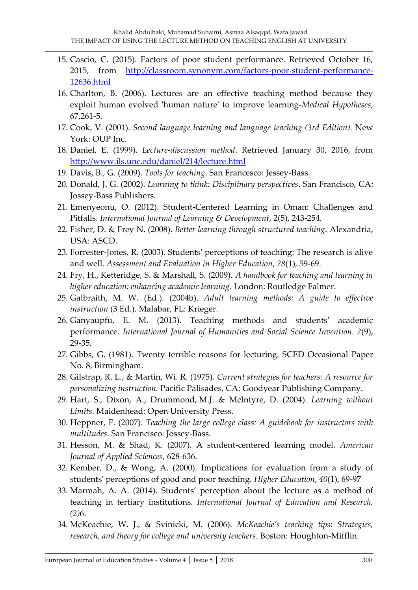- 15. Cascio, C. (2015). Factors of poor student performance. Retrieved October 16, 2015, from [http://classroom.synonym.com/factors-poor-student-performance-](http://classroom.synonym.com/factors-poor-student-performance-12636.html)[12636.html](http://classroom.synonym.com/factors-poor-student-performance-12636.html)
- 16. Charlton, B. (2006). Lectures are an effective teaching method because they exploit human evolved 'human nature' to improve learning-*Medical Hypotheses*, 67,261-5.
- 17. Cook, V. (2001). *Second language learning and language teaching (3rd Edition).* New York: OUP Inc.
- 18. Daniel, E. (1999). *Lecture-discussion method*. Retrieved January 30, 2016, from <http://www.ils.unc.edu/daniel/214/lecture.html>
- 19. Davis, B., G. (2009). *Tools for teaching*. San Francesco: Jessey-Bass.
- 20. Donald, J. G. (2002). *Learning to think: Disciplinary perspectives*. San Francisco, CA: Jossey-Bass Publishers.
- 21. Emenyeonu, O. (2012). Student-Centered Learning in Oman: Challenges and Pitfalls. *International Journal of Learning & Development*, 2(5), 243-254.
- 22. Fisher, D. & Frey N. (2008). *Better learning through structured teaching*. Alexandria, USA: ASCD.
- 23. Forrester-Jones, R. (2003). Students' perceptions of teaching: The research is alive and well. *Assessment and Evaluation in Higher Education*, *28*(1), 59-69.
- 24. Fry, H., Ketteridge, S. & Marshall, S. (2009). *A handbook for teaching and learning in higher education: enhancing academic learning*. London: Routledge Falmer.
- 25. Galbraith, M. W. (Ed.). (2004b). *Adult learning methods: A guide to effective instruction* (3 Ed.). Malabar, FL: Krieger.
- 26. Ganyaupfu, E. M. (2013). Teaching methods and students' academic performance. *International Journal of Humanities and Social Science Invention*. *2*(9), 29-35.
- 27. Gibbs, G. (1981). Twenty terrible reasons for lecturing. SCED Occasional Paper No. 8, Birmingham.
- 28. Gilstrap, R. L., & Martin, Wi. R. (1975). *Current strategies for teachers: A resource for personalizing instruction.* Pacific Palisades, CA: Goodyear Publishing Company.
- 29. Hart, S., Dixon, A., Drummond, M.J. & McIntyre, D. (2004). *Learning without Limits*. Maidenhead: Open University Press.
- 30. Heppner, F. (2007). *Teaching the large college class: A guidebook for instructors with multitudes*. San Francisco: Jossey-Bass.
- 31. Hesson, M. & Shad, K. (2007). A student-centered learning model. *American Journal of Applied Sciences*, 628-636.
- 32. Kember, D., & Wong, A. (2000). Implications for evaluation from a study of students' perceptions of good and poor teaching. *Higher Education*, *40*(1), 69-97
- 33. Marmah, A. A. (2014). Students' perception about the lecture as a method of teaching in tertiary institutions. *International Journal of Education and Research, (2)*6.
- 34. McKeachie, W. J., & Svinicki, M. (2006). *McKeachie's teaching tips: Strategies, research, and theory for college and university teachers*. Boston: Houghton-Mifflin.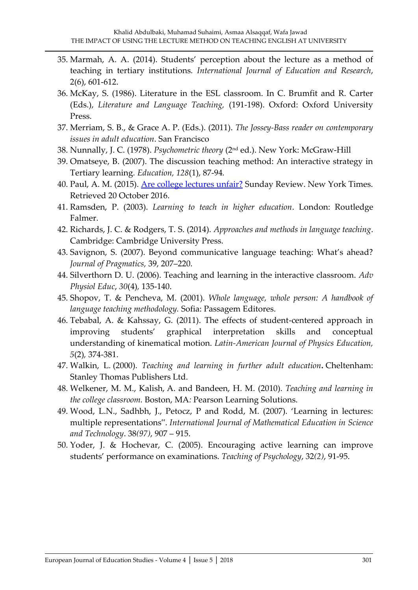- 35. Marmah, A. A. (2014). Students' perception about the lecture as a method of teaching in tertiary institutions. *International Journal of Education and Research*, 2(6), 601-612.
- 36. McKay, S. (1986). Literature in the ESL classroom. In C. Brumfit and R. Carter (Eds.), *Literature and Language Teaching,* (191-198). Oxford: Oxford University Press.
- 37. Merriam, S. B., & Grace A. P. (Eds.). (2011). *The Jossey-Bass reader on contemporary issues in adult education*. San Francisco
- 38. Nunnally, J. C. (1978). *Psychometric theory* (2nd ed.). New York: McGraw-Hill
- 39. Omatseye, B. (2007). The discussion teaching method: An interactive strategy in Tertiary learning*. Education, 128*(1), 87-94*.*
- 40. Paul, A. M. (2015). [Are college lectures unfair?](https://www.nytimes.com/2015/09/13/opinion/sunday/are-college-lectures-unfair.html) Sunday Review. New York Times. Retrieved 20 October 2016.
- 41. Ramsden, P. (2003). *Learning to teach in higher education*. London: Routledge Falmer.
- 42. Richards, J. C. & Rodgers, T. S. (2014). *Approaches and methods in language teaching*. Cambridge: Cambridge University Press.
- 43. Savignon, S. (2007). Beyond communicative language teaching: What's ahead? *Journal of Pragmatics,* 39, 207–220.
- 44. Silverthorn D. U. (2006). Teaching and learning in the interactive classroom. *Adv Physiol Educ*, *30*(4)*,* 135-140.
- 45. Shopov, T. & Pencheva, M. (2001). *Whole language, whole person: A handbook of language teaching methodology.* Sofia: Passagem Editores.
- 46. Tebabal, A. & Kahssay, G. (2011). The effects of student-centered approach in improving students' graphical interpretation skills and conceptual understanding of kinematical motion. *Latin-American Journal of Physics Education, 5*(2)*,* 374-381.
- 47. Walkin, L. (2000). *Teaching and learning in further adult education***.** Cheltenham: Stanley Thomas Publishers Ltd.
- 48. Welkener, M. M., Kalish, A. and Bandeen, H. M. (2010). *Teaching and learning in the college classroom.* Boston, MA*:* Pearson Learning Solutions.
- 49. Wood, L.N., Sadhbh, J., Petocz, P and Rodd, M. (2007). 'Learning in lectures: multiple representations". *International Journal of Mathematical Education in Science and Technology*. 38*(97)*, 907 – 915.
- 50. Yoder, J. & Hochevar, C. (2005). Encouraging active learning can improve students' performance on examinations. *Teaching of Psychology*, 32*(2)*, 91-95.